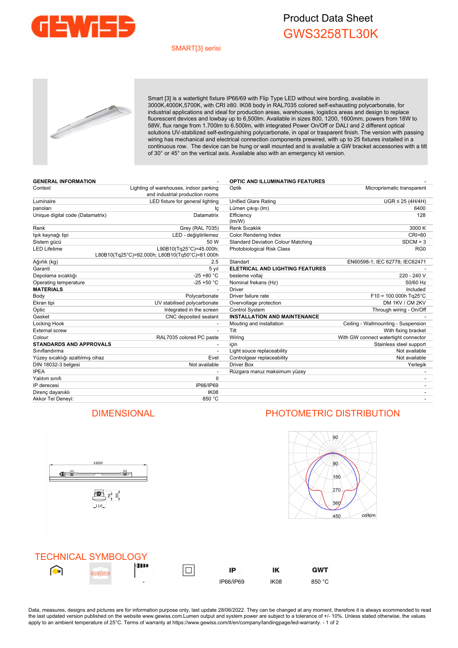

# Product Data Sheet GWS3258TL30K

### SMART[3] serisi



Smart [3] is a watertight fixture IP66/69 with Flip Type LED without wire bording, available in 3000K,4000K,5700K, with CRI ≥80. IK08 body in RAL7035 colored self-exhausting polycarbonate, for industrial applications and ideal for production areas, warehouses, logistics areas and design to replace fluorescent devices and lowbay up to 6,500lm. Available in sizes 800, 1200, 1600mm, powers from 18W to 58W, flux range from 1.700lm to 6.500lm, with integrated Power On/Off or DALI and 2 different optical solutions UV-stabilized self-extinguishing polycarbonate, in opal or trasparent finish. The version with passing wiring has mechanical and electrical connection components prewired, with up to 25 fixtures installed in a continuous row. The device can be hung or wall mounted and is available a GW bracket accessories with a tilt of 30° or 45° on the vertical axis. Available also with an emergency kit version.

| <b>GENERAL INFORMATION</b>       |                                                                           | <b>OPTIC AND ILLUMINATING FEATURES</b>    |                                      |
|----------------------------------|---------------------------------------------------------------------------|-------------------------------------------|--------------------------------------|
| Context                          | Lighting of warehouses, indoor parking<br>and industrial production rooms | Optik                                     | Microprismatic transparent           |
| Luminaire                        | LED fixture for general lighting                                          | <b>Unified Glare Rating</b>               | $UGR \leq 25 (4H/4H)$                |
| panoları                         | Ιc                                                                        | Lümen çıkışı (Im)                         | 6400                                 |
| Unique digital code (Datamatrix) | Datamatrix                                                                | Efficiency<br>(lm/W)                      | 128                                  |
| Renk                             | Grey (RAL 7035)                                                           | Renk Sıcaklık                             | 3000 K                               |
| lşık kaynağı tipi                | LED - değiştirilemez                                                      | <b>Color Rendering Index</b>              | <b>CRI&gt;80</b>                     |
| Sistem gücü                      | 50 W                                                                      | <b>Standard Deviation Colour Matching</b> | $SDCM = 3$                           |
| <b>LED Lifetime</b>              | L90B10(Tq25°C)=45.000h;<br>L80B10(Tg25°C)=92.000h; L80B10(Tg50°C)=81.000h | Photobiological Risk Class                | RG <sub>0</sub>                      |
| Ağırlık (kg)                     | 2.5                                                                       | Standart                                  | EN60598-1; IEC 62778; IEC62471       |
| Garanti                          | 5 yıl                                                                     | <b>ELETRICAL AND LIGHTING FEATURES</b>    |                                      |
| Depolama sıcaklığı               | $-25 + 80 °C$                                                             | besleme voltaj                            | 220 - 240 V                          |
| Operating temperature            | $-25 + 50 °C$                                                             | Nominal frekans (Hz)                      | 50/60 Hz                             |
| <b>MATERIALS</b>                 |                                                                           | <b>Driver</b>                             | Included                             |
| Body                             | Polycarbonate                                                             | Driver failure rate                       | $F10 = 100.000h$ Tg25°C              |
| Ekran tipi                       | UV stabilised polycarbonate                                               | Overvoltage protection                    | DM 1KV / CM 2KV                      |
| Optic                            | Integrated in the screen                                                  | <b>Control System</b>                     | Through wiring - On/Off              |
| Gasket                           | CNC deposited sealant                                                     | <b>INSTALLATION AND MAINTENANCE</b>       |                                      |
| Locking Hook                     |                                                                           | Mouting and installation                  | Ceiling - Wallmounting - Suspension  |
| <b>External screw</b>            | $\overline{\phantom{a}}$                                                  | Tilt                                      | With fixing bracket                  |
| Colour                           | RAL7035 colored PC paste                                                  | Wiring                                    | With GW connect watertight connector |
| <b>STANDARDS AND APPROVALS</b>   |                                                                           | icin                                      | Stainless steel support              |
| Siniflandirma                    |                                                                           | Light souce replaceability                | Not available                        |
| Yüzey sıcaklığı azaltılmış cihaz | Evet                                                                      | Controlgear replaceability                | Not available                        |
| DIN 18032-3 belgesi              | Not available                                                             | Driver Box                                | Yerleşik                             |
| <b>IPEA</b>                      |                                                                           | Rüzgara maruz maksimum yüzey              |                                      |
| Yalıtım sınıfı                   | $\mathbf{I}$                                                              |                                           |                                      |
| IP derecesi                      | IP66/IP69                                                                 |                                           |                                      |
| Direnç dayanıklı                 | IK <sub>08</sub>                                                          |                                           |                                      |
| Akkor Tel Denevi:                | 850 °C                                                                    |                                           |                                      |



## DIMENSIONAL PHOTOMETRIC DISTRIBUTION



**GWT** 



Data, measures, designs and pictures are for information purpose only, last update 28/06/2022. They can be changed at any moment, therefore it is always ecommended to read the last updated version published on the website www.gewiss.com.Lumen output and system power are subject to a tolerance of +/- 10%. Unless stated otherwise, the values apply to an ambient temperature of 25°C. Terms of warranty at https://www.gewiss.com/it/en/company/landingpage/led-warranty. - 1 of 2